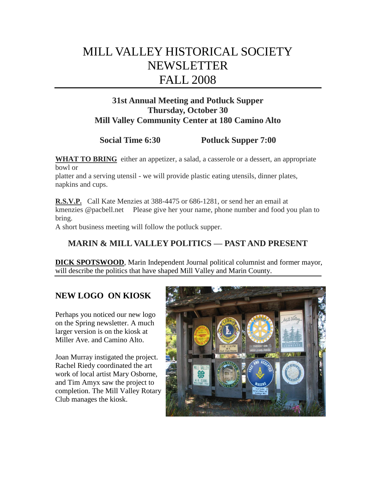# MILL VALLEY HISTORICAL SOCIETY NEWSLETTER FALL 2008

## **31st Annual Meeting and Potluck Supper Thursday, October 30 Mill Valley Community Center at 180 Camino Alto**

# **Social Time 6:30** Potluck Supper 7:00

**WHAT TO BRING** either an appetizer, a salad, a casserole or a dessert, an appropriate bowl or

platter and a serving utensil - we will provide plastic eating utensils, dinner plates, napkins and cups.

**R.S.V.P.** Call Kate Menzies at 388-4475 or 686-1281, or send her an email at kmenzies @pacbell.net Please give her your name, phone number and food you plan to bring.

A short business meeting will follow the potluck supper.

### **MARIN & MILL VALLEY POLITICS — PAST AND PRESENT**

**DICK SPOTSWOOD**, Marin Independent Journal political columnist and former mayor, will describe the politics that have shaped Mill Valley and Marin County.

### **NEW LOGO ON KIOSK**

Perhaps you noticed our new logo on the Spring newsletter. A much larger version is on the kiosk at Miller Ave. and Camino Alto.

Joan Murray instigated the project. Rachel Riedy coordinated the art work of local artist Mary Osborne, and Tim Amyx saw the project to completion. The Mill Valley Rotary Club manages the kiosk.

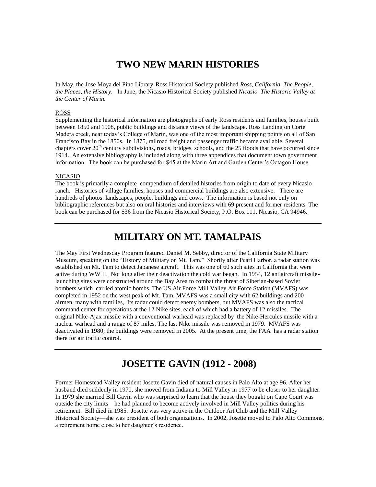## **TWO NEW MARIN HISTORIES**

In May, the Jose Moya del Pino Library-Ross Historical Society published *Ross, California–The People, the Places, the History.* In June, the Nicasio Historical Society published *Nicasio–The Historic Valley at the Center of Marin.*

#### ROSS

Supplementing the historical information are photographs of early Ross residents and families, houses built between 1850 and 1908, public buildings and distance views of the landscape. Ross Landing on Corte Madera creek, near today's College of Marin, was one of the most important shipping points on all of San Francisco Bay in the 1850s. In 1875, railroad freight and passenger traffic became available. Several chapters cover  $20<sup>th</sup>$  century subdivisions, roads, bridges, schools, and the 25 floods that have occurred since 1914. An extensive bibliography is included along with three appendices that document town government information. The book can be purchased for \$45 at the Marin Art and Garden Center's Octagon House.

#### NICASIO

The book is primarily a complete compendium of detailed histories from origin to date of every Nicasio ranch. Histories of village families, houses and commercial buildings are also extensive. There are hundreds of photos: landscapes, people, buildings and cows. The information is based not only on bibliographic references but also on oral histories and interviews with 69 present and former residents. The book can be purchased for \$36 from the Nicasio Historical Society, P.O. Box 111, Nicasio, CA 94946.

## **MILITARY ON MT. TAMALPAIS**

The May First Wednesday Program featured Daniel M. Sebby, director of the California State Military Museum, speaking on the "History of Military on Mt. Tam." Shortly after Pearl Harbor, a radar station was established on Mt. Tam to detect Japanese aircraft. This was one of 60 such sites in California that were active during WW II. Not long after their deactivation the cold war began. In 1954, 12 antiaircraft missilelaunching sites were constructed around the Bay Area to combat the threat of Siberian-based Soviet bombers which carried atomic bombs. The US Air Force Mill Valley Air Force Station (MVAFS) was completed in 1952 on the west peak of Mt. Tam. MVAFS was a small city with 62 buildings and 200 airmen, many with families,. Its radar could detect enemy bombers, but MVAFS was also the tactical command center for operations at the 12 Nike sites, each of which had a battery of 12 missiles. The original Nike-Ajax missile with a conventional warhead was replaced by the Nike-Hercules missile with a nuclear warhead and a range of 87 miles. The last Nike missile was removed in 1979. MVAFS was deactivated in 1980; the buildings were removed in 2005. At the present time, the FAA has a radar station there for air traffic control.

### **JOSETTE GAVIN (1912 - 2008)**

Former Homestead Valley resident Josette Gavin died of natural causes in Palo Alto at age 96. After her husband died suddenly in 1970, she moved from Indiana to Mill Valley in 1977 to be closer to her daughter. In 1979 she married Bill Gavin who was surprised to learn that the house they bought on Cape Court was outside the city limits—he had planned to become actively involved in Mill Valley politics during his retirement. Bill died in 1985. Josette was very active in the Outdoor Art Club and the Mill Valley Historical Society—she was president of both organizations. In 2002, Josette moved to Palo Alto Commons, a retirement home close to her daughter's residence.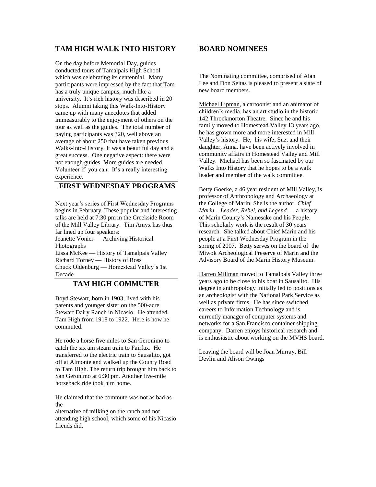#### **TAM HIGH WALK INTO HISTORY**

On the day before Memorial Day, guides conducted tours of Tamalpais High School which was celebrating its centennial. Many participants were impressed by the fact that Tam has a truly unique campus, much like a university. It's rich history was described in 20 stops. Alumni taking this Walk-Into-History came up with many anecdotes that added immeasurably to the enjoyment of others on the tour as well as the guides. The total number of paying participants was 320, well above an average of about 250 that have taken previous Walks-Into-History. It was a beautiful day and a great success. One negative aspect: there were not enough guides. More guides are needed. Volunteer if you can. It's a really interesting experience.

#### **FIRST WEDNESDAY PROGRAMS**

Next year's series of First Wednesday Programs begins in February. These popular and interesting talks are held at 7:30 pm in the Creekside Room of the Mill Valley Library. Tim Amyx has thus far lined up four speakers: Jeanette Vonier — Archiving Historical Photographs Lissa McKee — History of Tamalpais Valley Richard Torney — History of Ross

Chuck Oldenburg — Homestead Valley's 1st Decade

#### **TAM HIGH COMMUTER**

Boyd Stewart, born in 1903, lived with his parents and younger sister on the 500-acre Stewart Dairy Ranch in Nicasio. He attended Tam High from 1918 to 1922. Here is how he commuted.

He rode a horse five miles to San Geronimo to catch the six am steam train to Fairfax. He transferred to the electric train to Sausalito, got off at Almonte and walked up the County Road to Tam High. The return trip brought him back to San Geronimo at 6:30 pm. Another five-mile horseback ride took him home.

He claimed that the commute was not as bad as the

alternative of milking on the ranch and not attending high school, which some of his Nicasio friends did.

#### **BOARD NOMINEES**

The Nominating committee, comprised of Alan Lee and Don Seitas is pleased to present a slate of new board members.

Michael Lipman, a cartoonist and an animator of children's media, has an art studio in the historic 142 Throckmorton Theatre. Since he and his family moved to Homestead Valley 13 years ago, he has grown more and more interested in Mill Valley's history. He, his wife, Suz, and their daughter, Anna, have been actively involved in community affairs in Homestead Valley and Mill Valley. Michael has been so fascinated by our Walks Into History that he hopes to be a walk leader and member of the walk committee.

Betty Goerke, a 46 year resident of Mill Valley, is professor of Anthropology and Archaeology at the College of Marin. She is the author *Chief Marin – Leader, Rebel, and Legend* — a history of Marin County's Namesake and his People. This scholarly work is the result of 30 years research. She talked about Chief Marin and his people at a First Wednesday Program in the spring of 2007. Betty serves on the board of the Miwok Archeological Preserve of Marin and the Advisory Board of the Marin History Museum.

Darren Millman moved to Tamalpais Valley three years ago to be close to his boat in Sausalito. His degree in anthropology initially led to positions as an archeologist with the National Park Service as well as private firms. He has since switched careers to Information Technology and is currently manager of computer systems and networks for a San Francisco container shipping company. Darren enjoys historical research and is enthusiastic about working on the MVHS board.

Leaving the board will be Joan Murray, Bill Devlin and Alison Owings